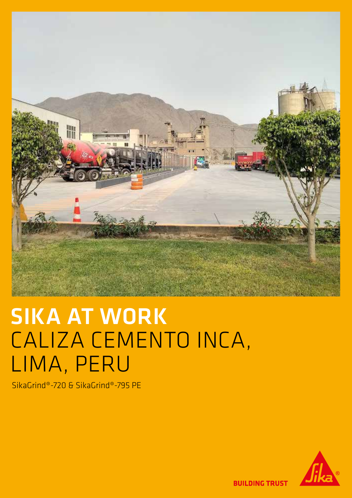

# SIKA AT WORK CALIZA CEMENTO INCA, LIMA, PERU

SikaGrind®-720 & SikaGrind®-795 PE



**BUILDING TRUST**